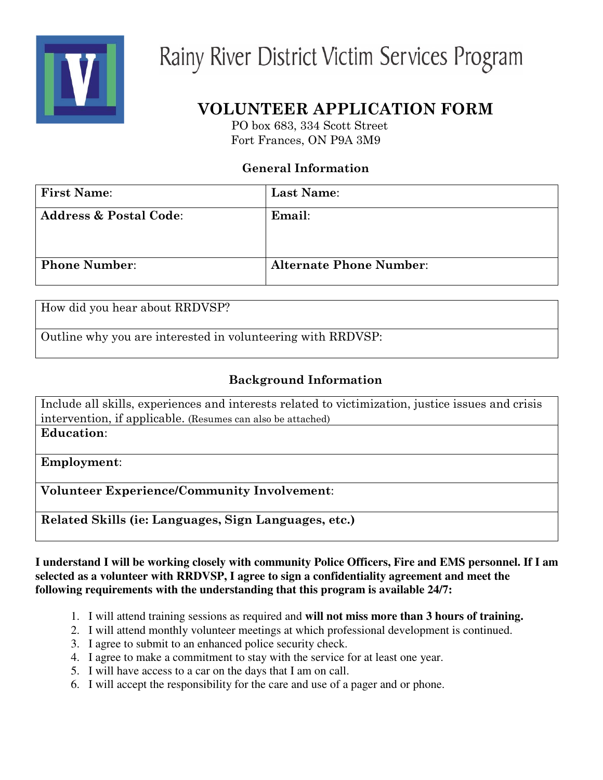

# Rainy River District Victim Services Program

# VOLUNTEER APPLICATION FORM

PO box 683, 334 Scott Street Fort Frances, ON P9A 3M9

## **General Information**

| <b>First Name:</b>                | Last Name:                     |
|-----------------------------------|--------------------------------|
| <b>Address &amp; Postal Code:</b> | Email:                         |
| <b>Phone Number:</b>              | <b>Alternate Phone Number:</b> |

How did you hear about RRDVSP?

Outline why you are interested in volunteering with RRDVSP:

### **Background Information**

Include all skills, experiences and interests related to victimization, justice issues and crisis intervention, if applicable. (Resumes can also be attached) Education:

Employment:

Volunteer Experience/Community Involvement:

Related Skills (ie: Languages, Sign Languages, etc.)

I understand I will be working closely with community Police Officers, Fire and EMS personnel. If I am **selected as a volunteer with RRDVSP, I agree to sign a confidentiality agreement and meet the following requirements with the understanding that this program is available 24/7:**

- 1. I will attend training sessions as required and **will not miss more than 3 hours of training.**
- 2. I will attend monthly volunteer meetings at which professional development is continued.
- 3. I agree to submit to an enhanced police security check.
- 4. I agree to make a commitment to stay with the service for at least one year.
- 5. I will have access to a car on the days that I am on call.
- 6. I will accept the responsibility for the care and use of a pager and or phone.